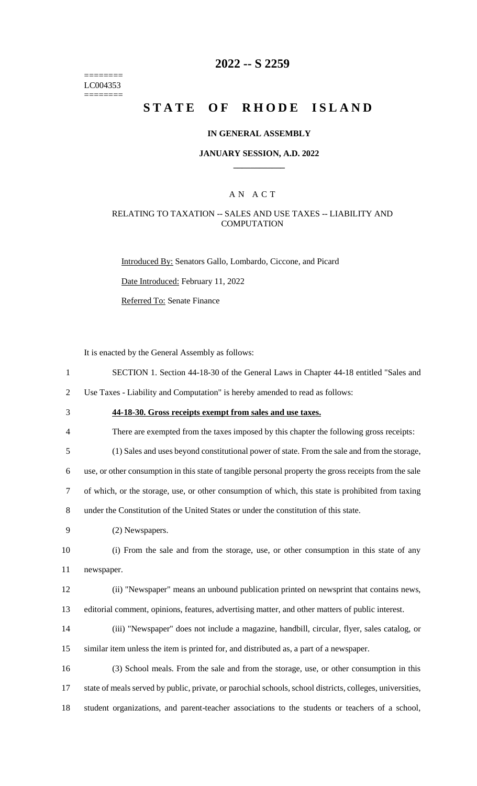======== LC004353 ========

### **2022 -- S 2259**

# **STATE OF RHODE ISLAND**

#### **IN GENERAL ASSEMBLY**

#### **JANUARY SESSION, A.D. 2022 \_\_\_\_\_\_\_\_\_\_\_\_**

### A N A C T

### RELATING TO TAXATION -- SALES AND USE TAXES -- LIABILITY AND **COMPUTATION**

Introduced By: Senators Gallo, Lombardo, Ciccone, and Picard

Date Introduced: February 11, 2022

Referred To: Senate Finance

It is enacted by the General Assembly as follows:

1 SECTION 1. Section 44-18-30 of the General Laws in Chapter 44-18 entitled "Sales and

2 Use Taxes - Liability and Computation" is hereby amended to read as follows:

- 3 **44-18-30. Gross receipts exempt from sales and use taxes.**
- 4 There are exempted from the taxes imposed by this chapter the following gross receipts:

5 (1) Sales and uses beyond constitutional power of state. From the sale and from the storage,

6 use, or other consumption in this state of tangible personal property the gross receipts from the sale

7 of which, or the storage, use, or other consumption of which, this state is prohibited from taxing

8 under the Constitution of the United States or under the constitution of this state.

9 (2) Newspapers.

10 (i) From the sale and from the storage, use, or other consumption in this state of any 11 newspaper.

12 (ii) "Newspaper" means an unbound publication printed on newsprint that contains news, 13 editorial comment, opinions, features, advertising matter, and other matters of public interest.

14 (iii) "Newspaper" does not include a magazine, handbill, circular, flyer, sales catalog, or 15 similar item unless the item is printed for, and distributed as, a part of a newspaper.

16 (3) School meals. From the sale and from the storage, use, or other consumption in this 17 state of meals served by public, private, or parochial schools, school districts, colleges, universities, 18 student organizations, and parent-teacher associations to the students or teachers of a school,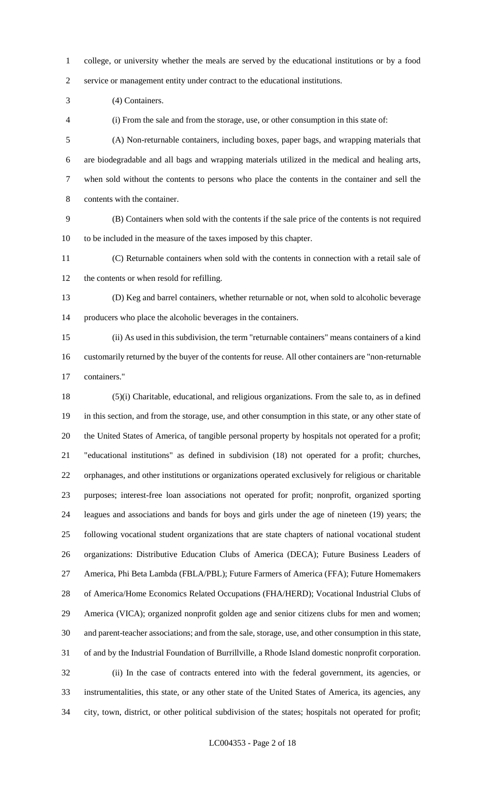college, or university whether the meals are served by the educational institutions or by a food service or management entity under contract to the educational institutions.

(4) Containers.

(i) From the sale and from the storage, use, or other consumption in this state of:

 (A) Non-returnable containers, including boxes, paper bags, and wrapping materials that are biodegradable and all bags and wrapping materials utilized in the medical and healing arts, when sold without the contents to persons who place the contents in the container and sell the contents with the container.

 (B) Containers when sold with the contents if the sale price of the contents is not required to be included in the measure of the taxes imposed by this chapter.

 (C) Returnable containers when sold with the contents in connection with a retail sale of the contents or when resold for refilling.

 (D) Keg and barrel containers, whether returnable or not, when sold to alcoholic beverage producers who place the alcoholic beverages in the containers.

 (ii) As used in this subdivision, the term "returnable containers" means containers of a kind customarily returned by the buyer of the contents for reuse. All other containers are "non-returnable

containers."

 (5)(i) Charitable, educational, and religious organizations. From the sale to, as in defined in this section, and from the storage, use, and other consumption in this state, or any other state of the United States of America, of tangible personal property by hospitals not operated for a profit; "educational institutions" as defined in subdivision (18) not operated for a profit; churches, orphanages, and other institutions or organizations operated exclusively for religious or charitable purposes; interest-free loan associations not operated for profit; nonprofit, organized sporting leagues and associations and bands for boys and girls under the age of nineteen (19) years; the following vocational student organizations that are state chapters of national vocational student organizations: Distributive Education Clubs of America (DECA); Future Business Leaders of America, Phi Beta Lambda (FBLA/PBL); Future Farmers of America (FFA); Future Homemakers of America/Home Economics Related Occupations (FHA/HERD); Vocational Industrial Clubs of America (VICA); organized nonprofit golden age and senior citizens clubs for men and women; and parent-teacher associations; and from the sale, storage, use, and other consumption in this state, of and by the Industrial Foundation of Burrillville, a Rhode Island domestic nonprofit corporation. (ii) In the case of contracts entered into with the federal government, its agencies, or instrumentalities, this state, or any other state of the United States of America, its agencies, any city, town, district, or other political subdivision of the states; hospitals not operated for profit;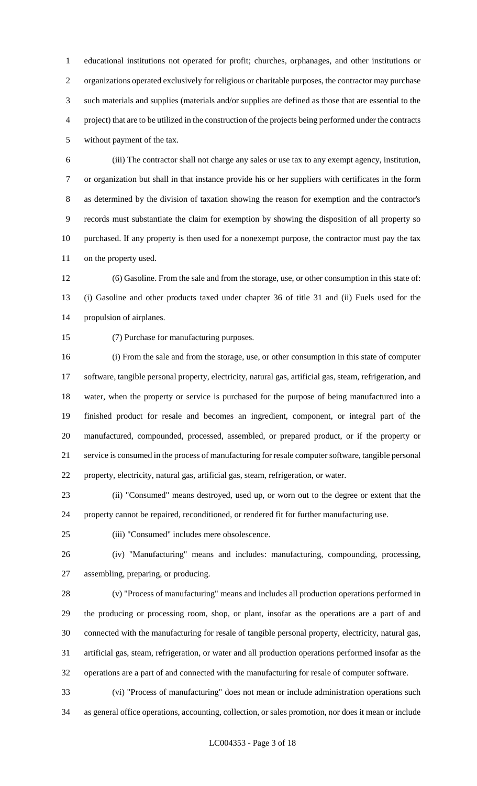educational institutions not operated for profit; churches, orphanages, and other institutions or organizations operated exclusively for religious or charitable purposes, the contractor may purchase such materials and supplies (materials and/or supplies are defined as those that are essential to the project) that are to be utilized in the construction of the projects being performed under the contracts without payment of the tax.

 (iii) The contractor shall not charge any sales or use tax to any exempt agency, institution, or organization but shall in that instance provide his or her suppliers with certificates in the form as determined by the division of taxation showing the reason for exemption and the contractor's records must substantiate the claim for exemption by showing the disposition of all property so purchased. If any property is then used for a nonexempt purpose, the contractor must pay the tax on the property used.

 (6) Gasoline. From the sale and from the storage, use, or other consumption in this state of: (i) Gasoline and other products taxed under chapter 36 of title 31 and (ii) Fuels used for the propulsion of airplanes.

(7) Purchase for manufacturing purposes.

 (i) From the sale and from the storage, use, or other consumption in this state of computer software, tangible personal property, electricity, natural gas, artificial gas, steam, refrigeration, and water, when the property or service is purchased for the purpose of being manufactured into a finished product for resale and becomes an ingredient, component, or integral part of the manufactured, compounded, processed, assembled, or prepared product, or if the property or service is consumed in the process of manufacturing for resale computer software, tangible personal property, electricity, natural gas, artificial gas, steam, refrigeration, or water.

 (ii) "Consumed" means destroyed, used up, or worn out to the degree or extent that the property cannot be repaired, reconditioned, or rendered fit for further manufacturing use.

(iii) "Consumed" includes mere obsolescence.

 (iv) "Manufacturing" means and includes: manufacturing, compounding, processing, assembling, preparing, or producing.

 (v) "Process of manufacturing" means and includes all production operations performed in the producing or processing room, shop, or plant, insofar as the operations are a part of and connected with the manufacturing for resale of tangible personal property, electricity, natural gas, artificial gas, steam, refrigeration, or water and all production operations performed insofar as the operations are a part of and connected with the manufacturing for resale of computer software.

 (vi) "Process of manufacturing" does not mean or include administration operations such as general office operations, accounting, collection, or sales promotion, nor does it mean or include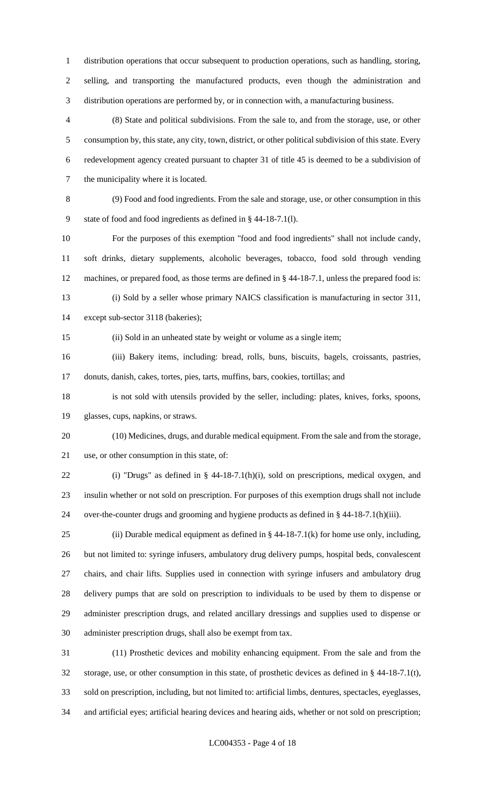distribution operations that occur subsequent to production operations, such as handling, storing, selling, and transporting the manufactured products, even though the administration and distribution operations are performed by, or in connection with, a manufacturing business.

 (8) State and political subdivisions. From the sale to, and from the storage, use, or other consumption by, this state, any city, town, district, or other political subdivision of this state. Every redevelopment agency created pursuant to chapter 31 of title 45 is deemed to be a subdivision of the municipality where it is located.

 (9) Food and food ingredients. From the sale and storage, use, or other consumption in this state of food and food ingredients as defined in § 44-18-7.1(l).

 For the purposes of this exemption "food and food ingredients" shall not include candy, soft drinks, dietary supplements, alcoholic beverages, tobacco, food sold through vending machines, or prepared food, as those terms are defined in § 44-18-7.1, unless the prepared food is: (i) Sold by a seller whose primary NAICS classification is manufacturing in sector 311,

except sub-sector 3118 (bakeries);

(ii) Sold in an unheated state by weight or volume as a single item;

 (iii) Bakery items, including: bread, rolls, buns, biscuits, bagels, croissants, pastries, donuts, danish, cakes, tortes, pies, tarts, muffins, bars, cookies, tortillas; and

 is not sold with utensils provided by the seller, including: plates, knives, forks, spoons, glasses, cups, napkins, or straws.

 (10) Medicines, drugs, and durable medical equipment. From the sale and from the storage, use, or other consumption in this state, of:

 (i) "Drugs" as defined in § 44-18-7.1(h)(i), sold on prescriptions, medical oxygen, and insulin whether or not sold on prescription. For purposes of this exemption drugs shall not include over-the-counter drugs and grooming and hygiene products as defined in § 44-18-7.1(h)(iii).

25 (ii) Durable medical equipment as defined in  $\S$  44-18-7.1(k) for home use only, including, but not limited to: syringe infusers, ambulatory drug delivery pumps, hospital beds, convalescent chairs, and chair lifts. Supplies used in connection with syringe infusers and ambulatory drug delivery pumps that are sold on prescription to individuals to be used by them to dispense or administer prescription drugs, and related ancillary dressings and supplies used to dispense or administer prescription drugs, shall also be exempt from tax.

 (11) Prosthetic devices and mobility enhancing equipment. From the sale and from the storage, use, or other consumption in this state, of prosthetic devices as defined in § 44-18-7.1(t), sold on prescription, including, but not limited to: artificial limbs, dentures, spectacles, eyeglasses, and artificial eyes; artificial hearing devices and hearing aids, whether or not sold on prescription;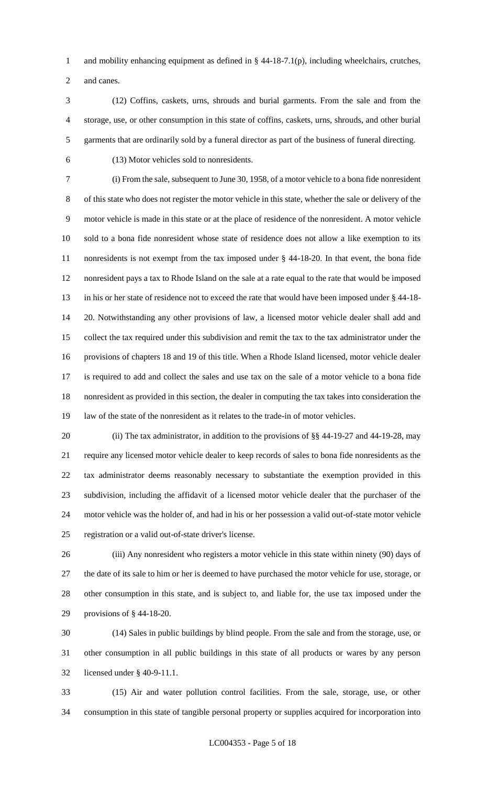and mobility enhancing equipment as defined in § 44-18-7.1(p), including wheelchairs, crutches, and canes.

 (12) Coffins, caskets, urns, shrouds and burial garments. From the sale and from the storage, use, or other consumption in this state of coffins, caskets, urns, shrouds, and other burial garments that are ordinarily sold by a funeral director as part of the business of funeral directing.

(13) Motor vehicles sold to nonresidents.

 (i) From the sale, subsequent to June 30, 1958, of a motor vehicle to a bona fide nonresident of this state who does not register the motor vehicle in this state, whether the sale or delivery of the motor vehicle is made in this state or at the place of residence of the nonresident. A motor vehicle sold to a bona fide nonresident whose state of residence does not allow a like exemption to its nonresidents is not exempt from the tax imposed under § 44-18-20. In that event, the bona fide nonresident pays a tax to Rhode Island on the sale at a rate equal to the rate that would be imposed in his or her state of residence not to exceed the rate that would have been imposed under § 44-18- 20. Notwithstanding any other provisions of law, a licensed motor vehicle dealer shall add and collect the tax required under this subdivision and remit the tax to the tax administrator under the provisions of chapters 18 and 19 of this title. When a Rhode Island licensed, motor vehicle dealer is required to add and collect the sales and use tax on the sale of a motor vehicle to a bona fide nonresident as provided in this section, the dealer in computing the tax takes into consideration the law of the state of the nonresident as it relates to the trade-in of motor vehicles.

20 (ii) The tax administrator, in addition to the provisions of §§ 44-19-27 and 44-19-28, may require any licensed motor vehicle dealer to keep records of sales to bona fide nonresidents as the tax administrator deems reasonably necessary to substantiate the exemption provided in this subdivision, including the affidavit of a licensed motor vehicle dealer that the purchaser of the motor vehicle was the holder of, and had in his or her possession a valid out-of-state motor vehicle registration or a valid out-of-state driver's license.

 (iii) Any nonresident who registers a motor vehicle in this state within ninety (90) days of the date of its sale to him or her is deemed to have purchased the motor vehicle for use, storage, or other consumption in this state, and is subject to, and liable for, the use tax imposed under the provisions of § 44-18-20.

 (14) Sales in public buildings by blind people. From the sale and from the storage, use, or other consumption in all public buildings in this state of all products or wares by any person licensed under § 40-9-11.1.

 (15) Air and water pollution control facilities. From the sale, storage, use, or other consumption in this state of tangible personal property or supplies acquired for incorporation into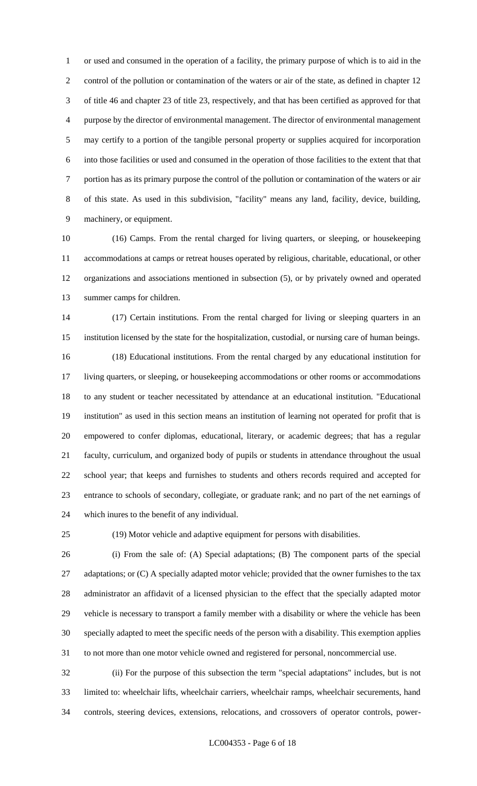or used and consumed in the operation of a facility, the primary purpose of which is to aid in the control of the pollution or contamination of the waters or air of the state, as defined in chapter 12 of title 46 and chapter 23 of title 23, respectively, and that has been certified as approved for that purpose by the director of environmental management. The director of environmental management may certify to a portion of the tangible personal property or supplies acquired for incorporation into those facilities or used and consumed in the operation of those facilities to the extent that that portion has as its primary purpose the control of the pollution or contamination of the waters or air of this state. As used in this subdivision, "facility" means any land, facility, device, building, machinery, or equipment.

 (16) Camps. From the rental charged for living quarters, or sleeping, or housekeeping accommodations at camps or retreat houses operated by religious, charitable, educational, or other organizations and associations mentioned in subsection (5), or by privately owned and operated summer camps for children.

 (17) Certain institutions. From the rental charged for living or sleeping quarters in an institution licensed by the state for the hospitalization, custodial, or nursing care of human beings. (18) Educational institutions. From the rental charged by any educational institution for living quarters, or sleeping, or housekeeping accommodations or other rooms or accommodations to any student or teacher necessitated by attendance at an educational institution. "Educational institution" as used in this section means an institution of learning not operated for profit that is empowered to confer diplomas, educational, literary, or academic degrees; that has a regular faculty, curriculum, and organized body of pupils or students in attendance throughout the usual school year; that keeps and furnishes to students and others records required and accepted for entrance to schools of secondary, collegiate, or graduate rank; and no part of the net earnings of which inures to the benefit of any individual.

(19) Motor vehicle and adaptive equipment for persons with disabilities.

 (i) From the sale of: (A) Special adaptations; (B) The component parts of the special 27 adaptations; or (C) A specially adapted motor vehicle; provided that the owner furnishes to the tax administrator an affidavit of a licensed physician to the effect that the specially adapted motor vehicle is necessary to transport a family member with a disability or where the vehicle has been specially adapted to meet the specific needs of the person with a disability. This exemption applies to not more than one motor vehicle owned and registered for personal, noncommercial use.

 (ii) For the purpose of this subsection the term "special adaptations" includes, but is not limited to: wheelchair lifts, wheelchair carriers, wheelchair ramps, wheelchair securements, hand controls, steering devices, extensions, relocations, and crossovers of operator controls, power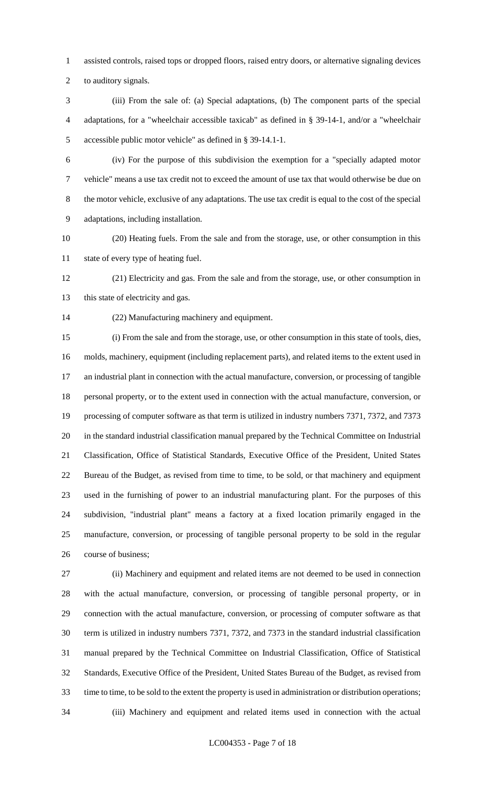assisted controls, raised tops or dropped floors, raised entry doors, or alternative signaling devices

to auditory signals.

 (iii) From the sale of: (a) Special adaptations, (b) The component parts of the special adaptations, for a "wheelchair accessible taxicab" as defined in § 39-14-1, and/or a "wheelchair accessible public motor vehicle" as defined in § 39-14.1-1.

 (iv) For the purpose of this subdivision the exemption for a "specially adapted motor vehicle" means a use tax credit not to exceed the amount of use tax that would otherwise be due on the motor vehicle, exclusive of any adaptations. The use tax credit is equal to the cost of the special adaptations, including installation.

 (20) Heating fuels. From the sale and from the storage, use, or other consumption in this state of every type of heating fuel.

 (21) Electricity and gas. From the sale and from the storage, use, or other consumption in 13 this state of electricity and gas.

(22) Manufacturing machinery and equipment.

 (i) From the sale and from the storage, use, or other consumption in this state of tools, dies, molds, machinery, equipment (including replacement parts), and related items to the extent used in an industrial plant in connection with the actual manufacture, conversion, or processing of tangible personal property, or to the extent used in connection with the actual manufacture, conversion, or processing of computer software as that term is utilized in industry numbers 7371, 7372, and 7373 in the standard industrial classification manual prepared by the Technical Committee on Industrial Classification, Office of Statistical Standards, Executive Office of the President, United States Bureau of the Budget, as revised from time to time, to be sold, or that machinery and equipment used in the furnishing of power to an industrial manufacturing plant. For the purposes of this subdivision, "industrial plant" means a factory at a fixed location primarily engaged in the manufacture, conversion, or processing of tangible personal property to be sold in the regular course of business;

 (ii) Machinery and equipment and related items are not deemed to be used in connection with the actual manufacture, conversion, or processing of tangible personal property, or in connection with the actual manufacture, conversion, or processing of computer software as that term is utilized in industry numbers 7371, 7372, and 7373 in the standard industrial classification manual prepared by the Technical Committee on Industrial Classification, Office of Statistical Standards, Executive Office of the President, United States Bureau of the Budget, as revised from time to time, to be sold to the extent the property is used in administration or distribution operations; (iii) Machinery and equipment and related items used in connection with the actual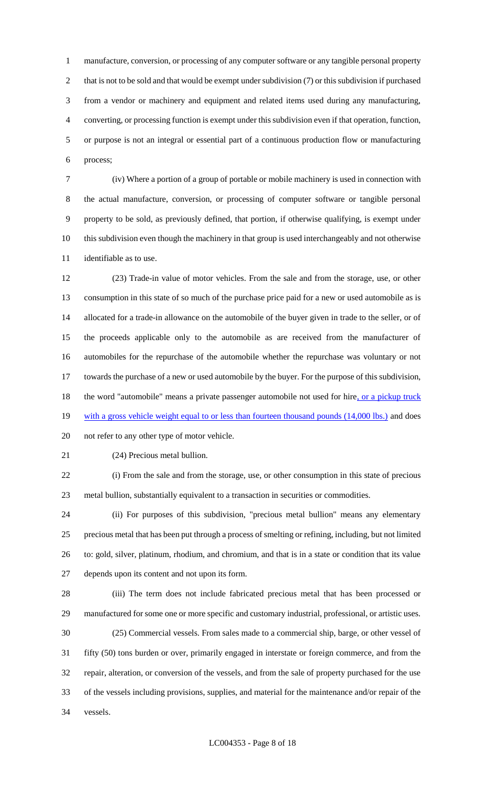manufacture, conversion, or processing of any computer software or any tangible personal property 2 that is not to be sold and that would be exempt under subdivision (7) or this subdivision if purchased from a vendor or machinery and equipment and related items used during any manufacturing, converting, or processing function is exempt under this subdivision even if that operation, function, or purpose is not an integral or essential part of a continuous production flow or manufacturing process;

 (iv) Where a portion of a group of portable or mobile machinery is used in connection with the actual manufacture, conversion, or processing of computer software or tangible personal property to be sold, as previously defined, that portion, if otherwise qualifying, is exempt under this subdivision even though the machinery in that group is used interchangeably and not otherwise identifiable as to use.

 (23) Trade-in value of motor vehicles. From the sale and from the storage, use, or other consumption in this state of so much of the purchase price paid for a new or used automobile as is allocated for a trade-in allowance on the automobile of the buyer given in trade to the seller, or of the proceeds applicable only to the automobile as are received from the manufacturer of automobiles for the repurchase of the automobile whether the repurchase was voluntary or not towards the purchase of a new or used automobile by the buyer. For the purpose of this subdivision, 18 the word "automobile" means a private passenger automobile not used for hire, or a pickup truck 19 with a gross vehicle weight equal to or less than fourteen thousand pounds (14,000 lbs.) and does not refer to any other type of motor vehicle.

(24) Precious metal bullion.

 (i) From the sale and from the storage, use, or other consumption in this state of precious metal bullion, substantially equivalent to a transaction in securities or commodities.

 (ii) For purposes of this subdivision, "precious metal bullion" means any elementary precious metal that has been put through a process of smelting or refining, including, but not limited to: gold, silver, platinum, rhodium, and chromium, and that is in a state or condition that its value depends upon its content and not upon its form.

 (iii) The term does not include fabricated precious metal that has been processed or manufactured for some one or more specific and customary industrial, professional, or artistic uses. (25) Commercial vessels. From sales made to a commercial ship, barge, or other vessel of fifty (50) tons burden or over, primarily engaged in interstate or foreign commerce, and from the repair, alteration, or conversion of the vessels, and from the sale of property purchased for the use of the vessels including provisions, supplies, and material for the maintenance and/or repair of the vessels.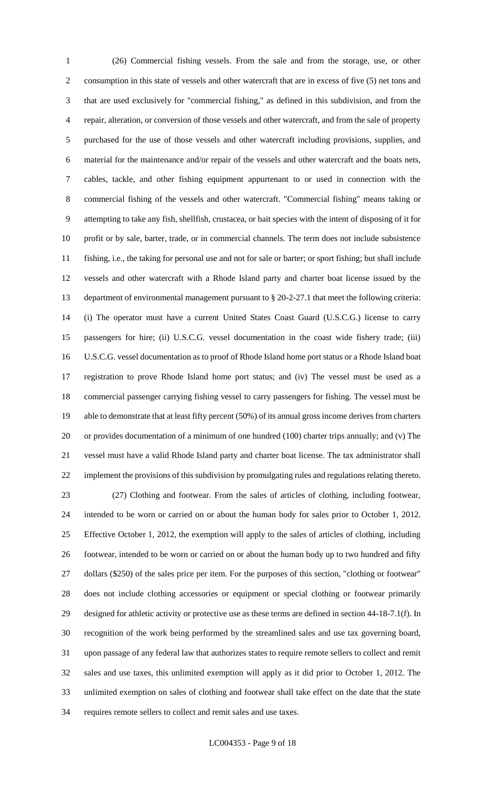(26) Commercial fishing vessels. From the sale and from the storage, use, or other consumption in this state of vessels and other watercraft that are in excess of five (5) net tons and that are used exclusively for "commercial fishing," as defined in this subdivision, and from the repair, alteration, or conversion of those vessels and other watercraft, and from the sale of property purchased for the use of those vessels and other watercraft including provisions, supplies, and material for the maintenance and/or repair of the vessels and other watercraft and the boats nets, cables, tackle, and other fishing equipment appurtenant to or used in connection with the commercial fishing of the vessels and other watercraft. "Commercial fishing" means taking or attempting to take any fish, shellfish, crustacea, or bait species with the intent of disposing of it for profit or by sale, barter, trade, or in commercial channels. The term does not include subsistence fishing, i.e., the taking for personal use and not for sale or barter; or sport fishing; but shall include vessels and other watercraft with a Rhode Island party and charter boat license issued by the department of environmental management pursuant to § 20-2-27.1 that meet the following criteria: (i) The operator must have a current United States Coast Guard (U.S.C.G.) license to carry passengers for hire; (ii) U.S.C.G. vessel documentation in the coast wide fishery trade; (iii) U.S.C.G. vessel documentation as to proof of Rhode Island home port status or a Rhode Island boat registration to prove Rhode Island home port status; and (iv) The vessel must be used as a commercial passenger carrying fishing vessel to carry passengers for fishing. The vessel must be able to demonstrate that at least fifty percent (50%) of its annual gross income derives from charters or provides documentation of a minimum of one hundred (100) charter trips annually; and (v) The vessel must have a valid Rhode Island party and charter boat license. The tax administrator shall implement the provisions of this subdivision by promulgating rules and regulations relating thereto. (27) Clothing and footwear. From the sales of articles of clothing, including footwear, intended to be worn or carried on or about the human body for sales prior to October 1, 2012. Effective October 1, 2012, the exemption will apply to the sales of articles of clothing, including footwear, intended to be worn or carried on or about the human body up to two hundred and fifty dollars (\$250) of the sales price per item. For the purposes of this section, "clothing or footwear" does not include clothing accessories or equipment or special clothing or footwear primarily designed for athletic activity or protective use as these terms are defined in section 44-18-7.1(f). In recognition of the work being performed by the streamlined sales and use tax governing board, upon passage of any federal law that authorizes states to require remote sellers to collect and remit sales and use taxes, this unlimited exemption will apply as it did prior to October 1, 2012. The unlimited exemption on sales of clothing and footwear shall take effect on the date that the state

requires remote sellers to collect and remit sales and use taxes.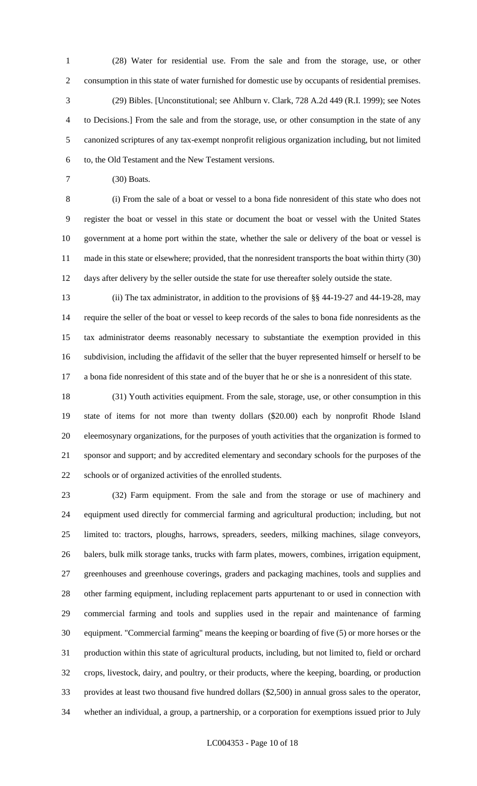(28) Water for residential use. From the sale and from the storage, use, or other consumption in this state of water furnished for domestic use by occupants of residential premises. (29) Bibles. [Unconstitutional; see Ahlburn v. Clark, 728 A.2d 449 (R.I. 1999); see Notes to Decisions.] From the sale and from the storage, use, or other consumption in the state of any canonized scriptures of any tax-exempt nonprofit religious organization including, but not limited to, the Old Testament and the New Testament versions.

(30) Boats.

 (i) From the sale of a boat or vessel to a bona fide nonresident of this state who does not register the boat or vessel in this state or document the boat or vessel with the United States government at a home port within the state, whether the sale or delivery of the boat or vessel is made in this state or elsewhere; provided, that the nonresident transports the boat within thirty (30) days after delivery by the seller outside the state for use thereafter solely outside the state.

 (ii) The tax administrator, in addition to the provisions of §§ 44-19-27 and 44-19-28, may require the seller of the boat or vessel to keep records of the sales to bona fide nonresidents as the tax administrator deems reasonably necessary to substantiate the exemption provided in this subdivision, including the affidavit of the seller that the buyer represented himself or herself to be a bona fide nonresident of this state and of the buyer that he or she is a nonresident of this state.

 (31) Youth activities equipment. From the sale, storage, use, or other consumption in this state of items for not more than twenty dollars (\$20.00) each by nonprofit Rhode Island eleemosynary organizations, for the purposes of youth activities that the organization is formed to sponsor and support; and by accredited elementary and secondary schools for the purposes of the schools or of organized activities of the enrolled students.

 (32) Farm equipment. From the sale and from the storage or use of machinery and equipment used directly for commercial farming and agricultural production; including, but not limited to: tractors, ploughs, harrows, spreaders, seeders, milking machines, silage conveyors, balers, bulk milk storage tanks, trucks with farm plates, mowers, combines, irrigation equipment, greenhouses and greenhouse coverings, graders and packaging machines, tools and supplies and other farming equipment, including replacement parts appurtenant to or used in connection with commercial farming and tools and supplies used in the repair and maintenance of farming equipment. "Commercial farming" means the keeping or boarding of five (5) or more horses or the production within this state of agricultural products, including, but not limited to, field or orchard crops, livestock, dairy, and poultry, or their products, where the keeping, boarding, or production provides at least two thousand five hundred dollars (\$2,500) in annual gross sales to the operator, whether an individual, a group, a partnership, or a corporation for exemptions issued prior to July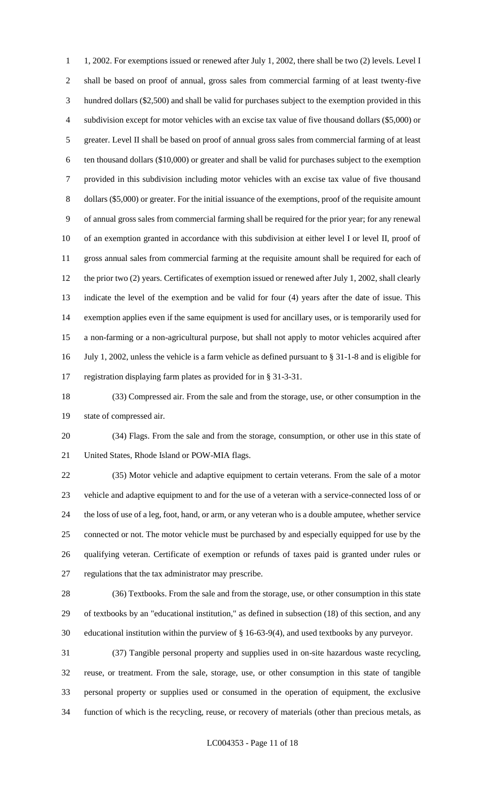1, 2002. For exemptions issued or renewed after July 1, 2002, there shall be two (2) levels. Level I shall be based on proof of annual, gross sales from commercial farming of at least twenty-five hundred dollars (\$2,500) and shall be valid for purchases subject to the exemption provided in this subdivision except for motor vehicles with an excise tax value of five thousand dollars (\$5,000) or greater. Level II shall be based on proof of annual gross sales from commercial farming of at least ten thousand dollars (\$10,000) or greater and shall be valid for purchases subject to the exemption provided in this subdivision including motor vehicles with an excise tax value of five thousand dollars (\$5,000) or greater. For the initial issuance of the exemptions, proof of the requisite amount of annual gross sales from commercial farming shall be required for the prior year; for any renewal of an exemption granted in accordance with this subdivision at either level I or level II, proof of gross annual sales from commercial farming at the requisite amount shall be required for each of 12 the prior two (2) years. Certificates of exemption issued or renewed after July 1, 2002, shall clearly indicate the level of the exemption and be valid for four (4) years after the date of issue. This exemption applies even if the same equipment is used for ancillary uses, or is temporarily used for a non-farming or a non-agricultural purpose, but shall not apply to motor vehicles acquired after July 1, 2002, unless the vehicle is a farm vehicle as defined pursuant to § 31-1-8 and is eligible for registration displaying farm plates as provided for in § 31-3-31.

 (33) Compressed air. From the sale and from the storage, use, or other consumption in the state of compressed air.

 (34) Flags. From the sale and from the storage, consumption, or other use in this state of United States, Rhode Island or POW-MIA flags.

 (35) Motor vehicle and adaptive equipment to certain veterans. From the sale of a motor vehicle and adaptive equipment to and for the use of a veteran with a service-connected loss of or the loss of use of a leg, foot, hand, or arm, or any veteran who is a double amputee, whether service connected or not. The motor vehicle must be purchased by and especially equipped for use by the qualifying veteran. Certificate of exemption or refunds of taxes paid is granted under rules or regulations that the tax administrator may prescribe.

 (36) Textbooks. From the sale and from the storage, use, or other consumption in this state of textbooks by an "educational institution," as defined in subsection (18) of this section, and any educational institution within the purview of § 16-63-9(4), and used textbooks by any purveyor.

 (37) Tangible personal property and supplies used in on-site hazardous waste recycling, reuse, or treatment. From the sale, storage, use, or other consumption in this state of tangible personal property or supplies used or consumed in the operation of equipment, the exclusive function of which is the recycling, reuse, or recovery of materials (other than precious metals, as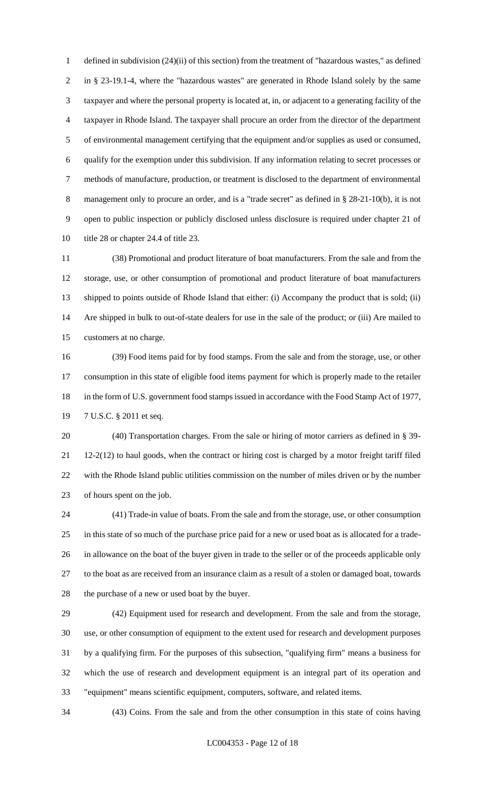defined in subdivision (24)(ii) of this section) from the treatment of "hazardous wastes," as defined in § 23-19.1-4, where the "hazardous wastes" are generated in Rhode Island solely by the same taxpayer and where the personal property is located at, in, or adjacent to a generating facility of the taxpayer in Rhode Island. The taxpayer shall procure an order from the director of the department of environmental management certifying that the equipment and/or supplies as used or consumed, qualify for the exemption under this subdivision. If any information relating to secret processes or methods of manufacture, production, or treatment is disclosed to the department of environmental 8 management only to procure an order, and is a "trade secret" as defined in § 28-21-10(b), it is not open to public inspection or publicly disclosed unless disclosure is required under chapter 21 of 10 title 28 or chapter 24.4 of title 23.

 (38) Promotional and product literature of boat manufacturers. From the sale and from the storage, use, or other consumption of promotional and product literature of boat manufacturers shipped to points outside of Rhode Island that either: (i) Accompany the product that is sold; (ii) Are shipped in bulk to out-of-state dealers for use in the sale of the product; or (iii) Are mailed to customers at no charge.

 (39) Food items paid for by food stamps. From the sale and from the storage, use, or other consumption in this state of eligible food items payment for which is properly made to the retailer 18 in the form of U.S. government food stamps issued in accordance with the Food Stamp Act of 1977, 7 U.S.C. § 2011 et seq.

 (40) Transportation charges. From the sale or hiring of motor carriers as defined in § 39- 12-2(12) to haul goods, when the contract or hiring cost is charged by a motor freight tariff filed with the Rhode Island public utilities commission on the number of miles driven or by the number of hours spent on the job.

 (41) Trade-in value of boats. From the sale and from the storage, use, or other consumption in this state of so much of the purchase price paid for a new or used boat as is allocated for a trade- in allowance on the boat of the buyer given in trade to the seller or of the proceeds applicable only to the boat as are received from an insurance claim as a result of a stolen or damaged boat, towards the purchase of a new or used boat by the buyer.

 (42) Equipment used for research and development. From the sale and from the storage, use, or other consumption of equipment to the extent used for research and development purposes by a qualifying firm. For the purposes of this subsection, "qualifying firm" means a business for which the use of research and development equipment is an integral part of its operation and "equipment" means scientific equipment, computers, software, and related items.

(43) Coins. From the sale and from the other consumption in this state of coins having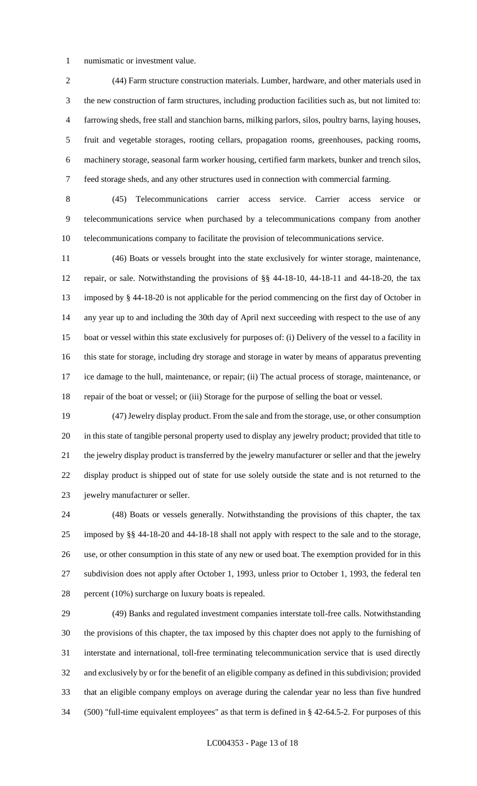numismatic or investment value.

 (44) Farm structure construction materials. Lumber, hardware, and other materials used in the new construction of farm structures, including production facilities such as, but not limited to: farrowing sheds, free stall and stanchion barns, milking parlors, silos, poultry barns, laying houses, fruit and vegetable storages, rooting cellars, propagation rooms, greenhouses, packing rooms, machinery storage, seasonal farm worker housing, certified farm markets, bunker and trench silos, feed storage sheds, and any other structures used in connection with commercial farming.

 (45) Telecommunications carrier access service. Carrier access service or telecommunications service when purchased by a telecommunications company from another telecommunications company to facilitate the provision of telecommunications service.

 (46) Boats or vessels brought into the state exclusively for winter storage, maintenance, repair, or sale. Notwithstanding the provisions of §§ 44-18-10, 44-18-11 and 44-18-20, the tax imposed by § 44-18-20 is not applicable for the period commencing on the first day of October in any year up to and including the 30th day of April next succeeding with respect to the use of any boat or vessel within this state exclusively for purposes of: (i) Delivery of the vessel to a facility in this state for storage, including dry storage and storage in water by means of apparatus preventing ice damage to the hull, maintenance, or repair; (ii) The actual process of storage, maintenance, or repair of the boat or vessel; or (iii) Storage for the purpose of selling the boat or vessel.

 (47) Jewelry display product. From the sale and from the storage, use, or other consumption in this state of tangible personal property used to display any jewelry product; provided that title to the jewelry display product is transferred by the jewelry manufacturer or seller and that the jewelry display product is shipped out of state for use solely outside the state and is not returned to the jewelry manufacturer or seller.

 (48) Boats or vessels generally. Notwithstanding the provisions of this chapter, the tax imposed by §§ 44-18-20 and 44-18-18 shall not apply with respect to the sale and to the storage, use, or other consumption in this state of any new or used boat. The exemption provided for in this subdivision does not apply after October 1, 1993, unless prior to October 1, 1993, the federal ten percent (10%) surcharge on luxury boats is repealed.

 (49) Banks and regulated investment companies interstate toll-free calls. Notwithstanding the provisions of this chapter, the tax imposed by this chapter does not apply to the furnishing of interstate and international, toll-free terminating telecommunication service that is used directly and exclusively by or for the benefit of an eligible company as defined in this subdivision; provided that an eligible company employs on average during the calendar year no less than five hundred (500) "full-time equivalent employees" as that term is defined in § 42-64.5-2. For purposes of this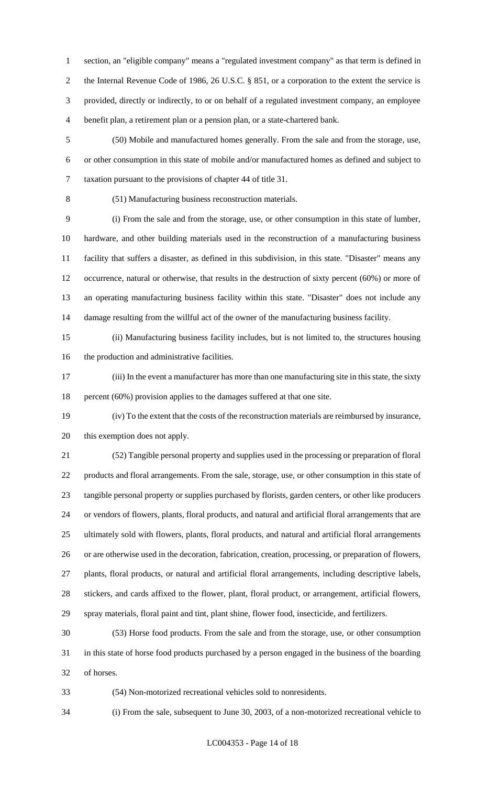section, an "eligible company" means a "regulated investment company" as that term is defined in 2 the Internal Revenue Code of 1986, 26 U.S.C. § 851, or a corporation to the extent the service is provided, directly or indirectly, to or on behalf of a regulated investment company, an employee benefit plan, a retirement plan or a pension plan, or a state-chartered bank.

 (50) Mobile and manufactured homes generally. From the sale and from the storage, use, or other consumption in this state of mobile and/or manufactured homes as defined and subject to taxation pursuant to the provisions of chapter 44 of title 31.

(51) Manufacturing business reconstruction materials.

 (i) From the sale and from the storage, use, or other consumption in this state of lumber, hardware, and other building materials used in the reconstruction of a manufacturing business facility that suffers a disaster, as defined in this subdivision, in this state. "Disaster" means any occurrence, natural or otherwise, that results in the destruction of sixty percent (60%) or more of an operating manufacturing business facility within this state. "Disaster" does not include any damage resulting from the willful act of the owner of the manufacturing business facility.

 (ii) Manufacturing business facility includes, but is not limited to, the structures housing the production and administrative facilities.

 (iii) In the event a manufacturer has more than one manufacturing site in this state, the sixty percent (60%) provision applies to the damages suffered at that one site.

 (iv) To the extent that the costs of the reconstruction materials are reimbursed by insurance, this exemption does not apply.

 (52) Tangible personal property and supplies used in the processing or preparation of floral products and floral arrangements. From the sale, storage, use, or other consumption in this state of tangible personal property or supplies purchased by florists, garden centers, or other like producers or vendors of flowers, plants, floral products, and natural and artificial floral arrangements that are ultimately sold with flowers, plants, floral products, and natural and artificial floral arrangements or are otherwise used in the decoration, fabrication, creation, processing, or preparation of flowers, plants, floral products, or natural and artificial floral arrangements, including descriptive labels, stickers, and cards affixed to the flower, plant, floral product, or arrangement, artificial flowers, spray materials, floral paint and tint, plant shine, flower food, insecticide, and fertilizers.

 (53) Horse food products. From the sale and from the storage, use, or other consumption in this state of horse food products purchased by a person engaged in the business of the boarding of horses.

(54) Non-motorized recreational vehicles sold to nonresidents.

(i) From the sale, subsequent to June 30, 2003, of a non-motorized recreational vehicle to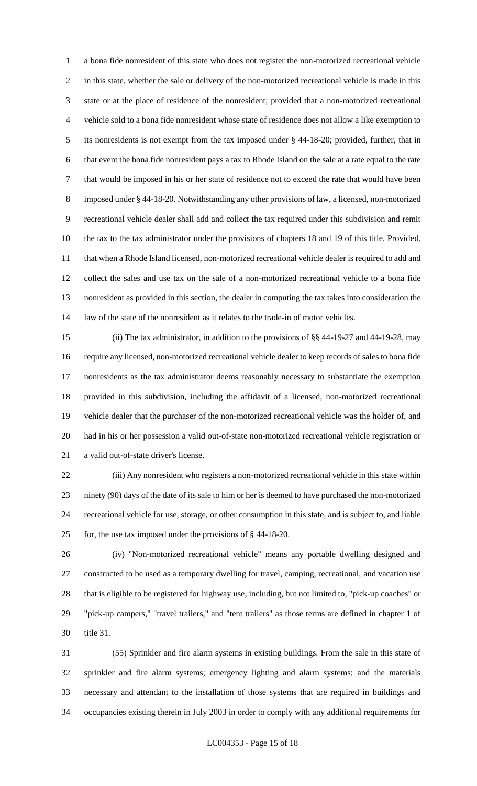a bona fide nonresident of this state who does not register the non-motorized recreational vehicle in this state, whether the sale or delivery of the non-motorized recreational vehicle is made in this state or at the place of residence of the nonresident; provided that a non-motorized recreational vehicle sold to a bona fide nonresident whose state of residence does not allow a like exemption to its nonresidents is not exempt from the tax imposed under § 44-18-20; provided, further, that in that event the bona fide nonresident pays a tax to Rhode Island on the sale at a rate equal to the rate that would be imposed in his or her state of residence not to exceed the rate that would have been imposed under § 44-18-20. Notwithstanding any other provisions of law, a licensed, non-motorized recreational vehicle dealer shall add and collect the tax required under this subdivision and remit the tax to the tax administrator under the provisions of chapters 18 and 19 of this title. Provided, that when a Rhode Island licensed, non-motorized recreational vehicle dealer is required to add and collect the sales and use tax on the sale of a non-motorized recreational vehicle to a bona fide nonresident as provided in this section, the dealer in computing the tax takes into consideration the law of the state of the nonresident as it relates to the trade-in of motor vehicles.

 (ii) The tax administrator, in addition to the provisions of §§ 44-19-27 and 44-19-28, may require any licensed, non-motorized recreational vehicle dealer to keep records of sales to bona fide nonresidents as the tax administrator deems reasonably necessary to substantiate the exemption provided in this subdivision, including the affidavit of a licensed, non-motorized recreational vehicle dealer that the purchaser of the non-motorized recreational vehicle was the holder of, and had in his or her possession a valid out-of-state non-motorized recreational vehicle registration or a valid out-of-state driver's license.

 (iii) Any nonresident who registers a non-motorized recreational vehicle in this state within ninety (90) days of the date of its sale to him or her is deemed to have purchased the non-motorized recreational vehicle for use, storage, or other consumption in this state, and is subject to, and liable for, the use tax imposed under the provisions of § 44-18-20.

 (iv) "Non-motorized recreational vehicle" means any portable dwelling designed and constructed to be used as a temporary dwelling for travel, camping, recreational, and vacation use that is eligible to be registered for highway use, including, but not limited to, "pick-up coaches" or "pick-up campers," "travel trailers," and "tent trailers" as those terms are defined in chapter 1 of title 31.

 (55) Sprinkler and fire alarm systems in existing buildings. From the sale in this state of sprinkler and fire alarm systems; emergency lighting and alarm systems; and the materials necessary and attendant to the installation of those systems that are required in buildings and occupancies existing therein in July 2003 in order to comply with any additional requirements for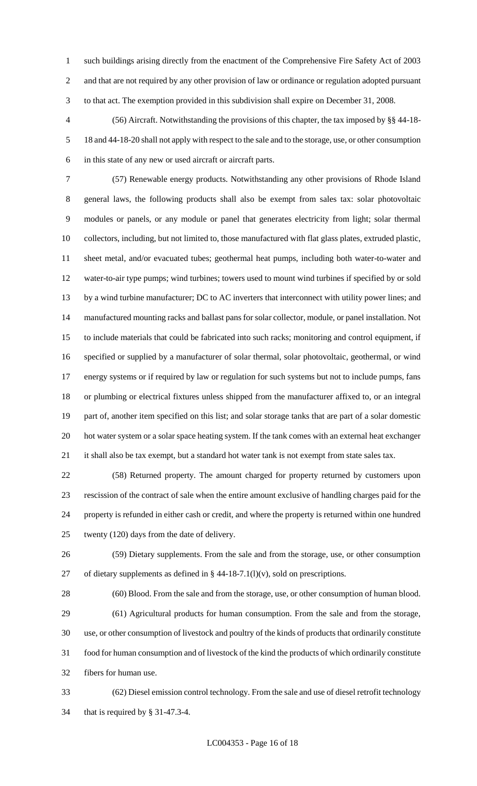such buildings arising directly from the enactment of the Comprehensive Fire Safety Act of 2003 and that are not required by any other provision of law or ordinance or regulation adopted pursuant to that act. The exemption provided in this subdivision shall expire on December 31, 2008.

 (56) Aircraft. Notwithstanding the provisions of this chapter, the tax imposed by §§ 44-18- 18 and 44-18-20 shall not apply with respect to the sale and to the storage, use, or other consumption in this state of any new or used aircraft or aircraft parts.

 (57) Renewable energy products. Notwithstanding any other provisions of Rhode Island general laws, the following products shall also be exempt from sales tax: solar photovoltaic modules or panels, or any module or panel that generates electricity from light; solar thermal collectors, including, but not limited to, those manufactured with flat glass plates, extruded plastic, sheet metal, and/or evacuated tubes; geothermal heat pumps, including both water-to-water and water-to-air type pumps; wind turbines; towers used to mount wind turbines if specified by or sold 13 by a wind turbine manufacturer; DC to AC inverters that interconnect with utility power lines; and manufactured mounting racks and ballast pans for solar collector, module, or panel installation. Not to include materials that could be fabricated into such racks; monitoring and control equipment, if specified or supplied by a manufacturer of solar thermal, solar photovoltaic, geothermal, or wind energy systems or if required by law or regulation for such systems but not to include pumps, fans or plumbing or electrical fixtures unless shipped from the manufacturer affixed to, or an integral part of, another item specified on this list; and solar storage tanks that are part of a solar domestic hot water system or a solar space heating system. If the tank comes with an external heat exchanger 21 it shall also be tax exempt, but a standard hot water tank is not exempt from state sales tax.

 (58) Returned property. The amount charged for property returned by customers upon rescission of the contract of sale when the entire amount exclusive of handling charges paid for the property is refunded in either cash or credit, and where the property is returned within one hundred twenty (120) days from the date of delivery.

 (59) Dietary supplements. From the sale and from the storage, use, or other consumption 27 of dietary supplements as defined in  $\S$  44-18-7.1(l)(v), sold on prescriptions.

 (60) Blood. From the sale and from the storage, use, or other consumption of human blood. (61) Agricultural products for human consumption. From the sale and from the storage, use, or other consumption of livestock and poultry of the kinds of products that ordinarily constitute food for human consumption and of livestock of the kind the products of which ordinarily constitute fibers for human use.

 (62) Diesel emission control technology. From the sale and use of diesel retrofit technology that is required by § 31-47.3-4.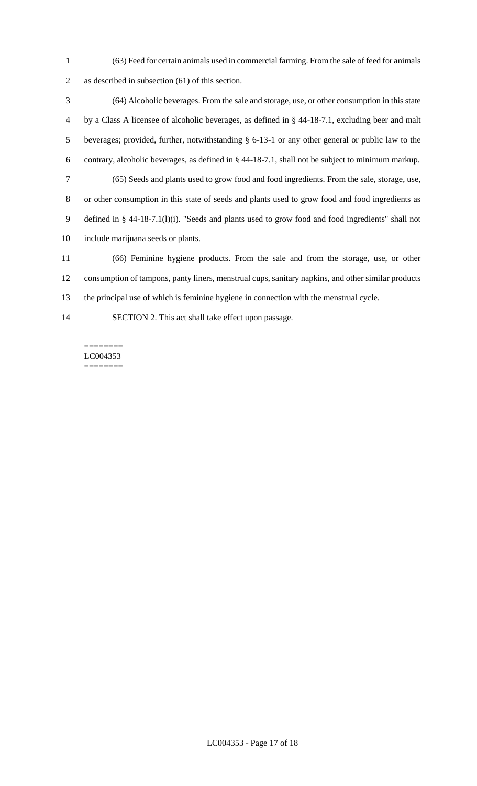(63) Feed for certain animals used in commercial farming. From the sale of feed for animals as described in subsection (61) of this section.

 (64) Alcoholic beverages. From the sale and storage, use, or other consumption in this state by a Class A licensee of alcoholic beverages, as defined in § 44-18-7.1, excluding beer and malt beverages; provided, further, notwithstanding § 6-13-1 or any other general or public law to the contrary, alcoholic beverages, as defined in § 44-18-7.1, shall not be subject to minimum markup. (65) Seeds and plants used to grow food and food ingredients. From the sale, storage, use, or other consumption in this state of seeds and plants used to grow food and food ingredients as defined in § 44-18-7.1(l)(i). "Seeds and plants used to grow food and food ingredients" shall not include marijuana seeds or plants. (66) Feminine hygiene products. From the sale and from the storage, use, or other

 consumption of tampons, panty liners, menstrual cups, sanitary napkins, and other similar products the principal use of which is feminine hygiene in connection with the menstrual cycle.

SECTION 2. This act shall take effect upon passage.

======== LC004353 ========